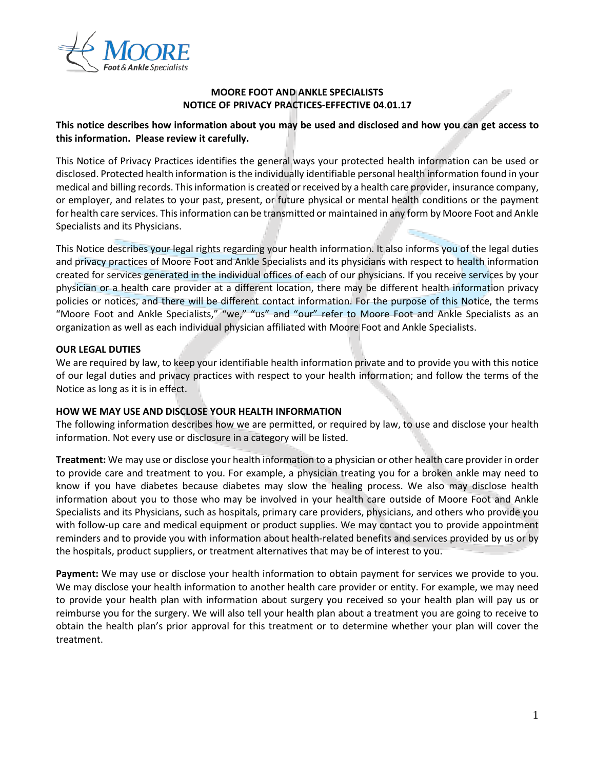

## **MOORE FOOT AND ANKLE SPECIALISTS NOTICE OF PRIVACY PRACTICES-EFFECTIVE 04.01.17**

# **This notice describes how information about you may be used and disclosed and how you can get access to this information. Please review it carefully.**

This Notice of Privacy Practices identifies the general ways your protected health information can be used or disclosed. Protected health information is the individually identifiable personal health information found in your medical and billing records. This information is created or received by a health care provider, insurance company, or employer, and relates to your past, present, or future physical or mental health conditions or the payment for health care services. This information can be transmitted or maintained in any form by Moore Foot and Ankle Specialists and its Physicians.

This Notice describes your legal rights regarding your health information. It also informs you of the legal duties and privacy practices of Moore Foot and Ankle Specialists and its physicians with respect to health information created for services generated in the individual offices of each of our physicians. If you receive services by your physician or a health care provider at a different location, there may be different health information privacy policies or notices, and there will be different contact information. For the purpose of this Notice, the terms "Moore Foot and Ankle Specialists," "we," "us" and "our" refer to Moore Foot and Ankle Specialists as an organization as well as each individual physician affiliated with Moore Foot and Ankle Specialists.

### **OUR LEGAL DUTIES**

We are required by law, to keep your identifiable health information private and to provide you with this notice of our legal duties and privacy practices with respect to your health information; and follow the terms of the Notice as long as it is in effect.

### **HOW WE MAY USE AND DISCLOSE YOUR HEALTH INFORMATION**

The following information describes how we are permitted, or required by law, to use and disclose your health information. Not every use or disclosure in a category will be listed.

**Treatment:** We may use or disclose your health information to a physician or other health care provider in order to provide care and treatment to you. For example, a physician treating you for a broken ankle may need to know if you have diabetes because diabetes may slow the healing process. We also may disclose health information about you to those who may be involved in your health care outside of Moore Foot and Ankle Specialists and its Physicians, such as hospitals, primary care providers, physicians, and others who provide you with follow-up care and medical equipment or product supplies. We may contact you to provide appointment reminders and to provide you with information about health-related benefits and services provided by us or by the hospitals, product suppliers, or treatment alternatives that may be of interest to you.

**Payment:** We may use or disclose your health information to obtain payment for services we provide to you. We may disclose your health information to another health care provider or entity. For example, we may need to provide your health plan with information about surgery you received so your health plan will pay us or reimburse you for the surgery. We will also tell your health plan about a treatment you are going to receive to obtain the health plan's prior approval for this treatment or to determine whether your plan will cover the treatment.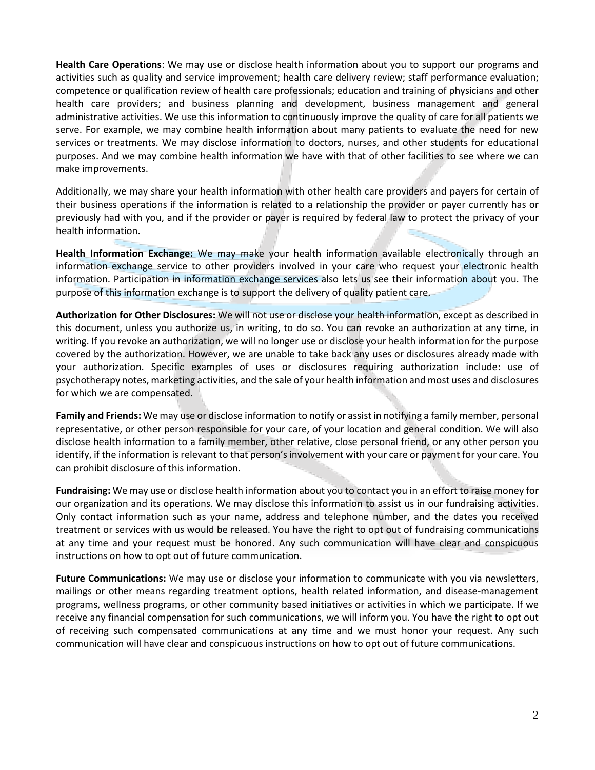**Health Care Operations**: We may use or disclose health information about you to support our programs and activities such as quality and service improvement; health care delivery review; staff performance evaluation; competence or qualification review of health care professionals; education and training of physicians and other health care providers; and business planning and development, business management and general administrative activities. We use this information to continuously improve the quality of care for all patients we serve. For example, we may combine health information about many patients to evaluate the need for new services or treatments. We may disclose information to doctors, nurses, and other students for educational purposes. And we may combine health information we have with that of other facilities to see where we can make improvements.

Additionally, we may share your health information with other health care providers and payers for certain of their business operations if the information is related to a relationship the provider or payer currently has or previously had with you, and if the provider or payer is required by federal law to protect the privacy of your health information.

**Health Information Exchange:** We may make your health information available electronically through an information exchange service to other providers involved in your care who request your electronic health information. Participation in information exchange services also lets us see their information about you. The purpose of this information exchange is to support the delivery of quality patient care.

**Authorization for Other Disclosures:** We will not use or disclose your health information, except as described in this document, unless you authorize us, in writing, to do so. You can revoke an authorization at any time, in writing. If you revoke an authorization, we will no longer use or disclose your health information for the purpose covered by the authorization. However, we are unable to take back any uses or disclosures already made with your authorization. Specific examples of uses or disclosures requiring authorization include: use of psychotherapy notes, marketing activities, and the sale of your health information and most uses and disclosures for which we are compensated.

**Family and Friends:** We may use or disclose information to notify or assist in notifying a family member, personal representative, or other person responsible for your care, of your location and general condition. We will also disclose health information to a family member, other relative, close personal friend, or any other person you identify, if the information is relevant to that person's involvement with your care or payment for your care. You can prohibit disclosure of this information.

**Fundraising:** We may use or disclose health information about you to contact you in an effort to raise money for our organization and its operations. We may disclose this information to assist us in our fundraising activities. Only contact information such as your name, address and telephone number, and the dates you received treatment or services with us would be released. You have the right to opt out of fundraising communications at any time and your request must be honored. Any such communication will have clear and conspicuous instructions on how to opt out of future communication.

**Future Communications:** We may use or disclose your information to communicate with you via newsletters, mailings or other means regarding treatment options, health related information, and disease-management programs, wellness programs, or other community based initiatives or activities in which we participate. If we receive any financial compensation for such communications, we will inform you. You have the right to opt out of receiving such compensated communications at any time and we must honor your request. Any such communication will have clear and conspicuous instructions on how to opt out of future communications.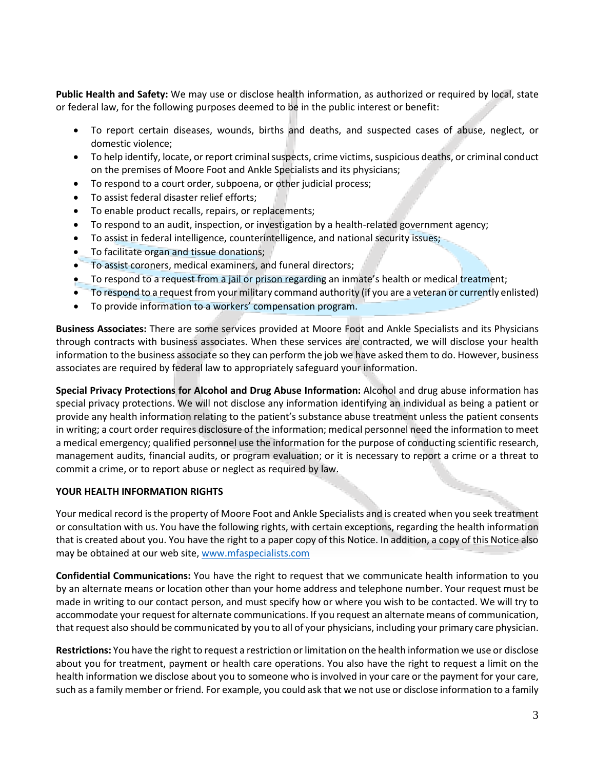**Public Health and Safety:** We may use or disclose health information, as authorized or required by local, state or federal law, for the following purposes deemed to be in the public interest or benefit:

- To report certain diseases, wounds, births and deaths, and suspected cases of abuse, neglect, or domestic violence;
- To help identify, locate, or report criminal suspects, crime victims, suspicious deaths, or criminal conduct on the premises of Moore Foot and Ankle Specialists and its physicians;
- To respond to a court order, subpoena, or other judicial process;
- To assist federal disaster relief efforts;
- To enable product recalls, repairs, or replacements;
- To respond to an audit, inspection, or investigation by a health-related government agency;
- To assist in federal intelligence, counterintelligence, and national security issues;
- To facilitate organ and tissue donations;
- To assist coroners, medical examiners, and funeral directors;
- To respond to a request from a jail or prison regarding an inmate's health or medical treatment;
- To respond to a request from your military command authority (if you are a veteran or currently enlisted)
- To provide information to a workers' compensation program.

**Business Associates:** There are some services provided at Moore Foot and Ankle Specialists and its Physicians through contracts with business associates. When these services are contracted, we will disclose your health information to the business associate so they can perform the job we have asked them to do. However, business associates are required by federal law to appropriately safeguard your information.

**Special Privacy Protections for Alcohol and Drug Abuse Information:** Alcohol and drug abuse information has special privacy protections. We will not disclose any information identifying an individual as being a patient or provide any health information relating to the patient's substance abuse treatment unless the patient consents in writing; a court order requires disclosure of the information; medical personnel need the information to meet a medical emergency; qualified personnel use the information for the purpose of conducting scientific research, management audits, financial audits, or program evaluation; or it is necessary to report a crime or a threat to commit a crime, or to report abuse or neglect as required by law.

# **YOUR HEALTH INFORMATION RIGHTS**

Your medical record is the property of Moore Foot and Ankle Specialists and is created when you seek treatment or consultation with us. You have the following rights, with certain exceptions, regarding the health information that is created about you. You have the right to a paper copy of this Notice. In addition, a copy of this Notice also may be obtained at our web site[, www.mfaspecialists.com](http://www.mfaspecialists.com/)

**Confidential Communications:** You have the right to request that we communicate health information to you by an alternate means or location other than your home address and telephone number. Your request must be made in writing to our contact person, and must specify how or where you wish to be contacted. We will try to accommodate your request for alternate communications. If you request an alternate means of communication, that request also should be communicated by you to all of your physicians, including your primary care physician.

**Restrictions:** You have the right to request a restriction or limitation on the health information we use or disclose about you for treatment, payment or health care operations. You also have the right to request a limit on the health information we disclose about you to someone who is involved in your care or the payment for your care, such as a family member or friend. For example, you could ask that we not use or disclose information to a family